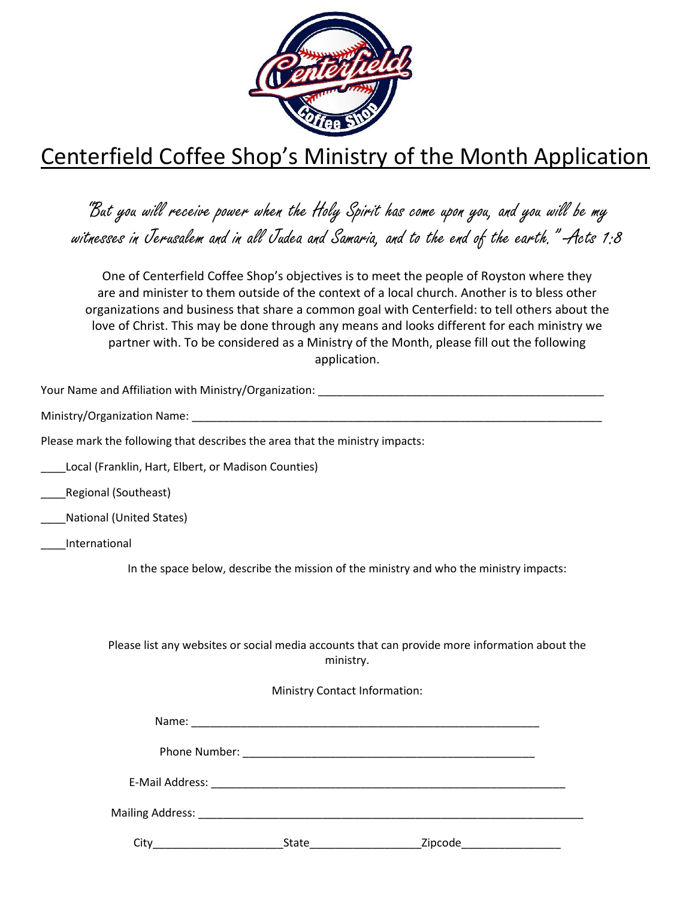

## Centerfield Coffee Shop's Ministry of the Month Application

"But you will receive power when the Holy Spirit has come upon you, and you will be my witnesses in Jerusalem and in all Judea and Samaria, and to the end of the earth." -Acts 1:8

One of Centerfield Coffee Shop's objectives is to meet the people of Royston where they are and minister to them outside of the context of a local church. Another is to bless other organizations and business that share a common goal with Centerfield: to tell others about the love of Christ. This may be done through any means and looks different for each ministry we partner with. To be considered as a Ministry of the Month, please fill out the following application.

Your Name and Affiliation with Ministry/Organization: \_\_\_\_\_\_\_\_\_\_\_\_\_\_\_\_\_\_\_\_\_\_\_\_\_\_\_

Ministry/Organization Name: \_\_\_\_\_\_\_\_\_\_\_\_\_\_\_\_\_\_\_\_\_\_\_\_\_\_\_\_\_\_\_\_\_\_\_\_\_\_\_\_\_\_\_\_\_\_\_\_\_\_\_\_\_\_\_\_\_\_\_\_\_\_\_\_\_\_

Please mark the following that describes the area that the ministry impacts:

Local (Franklin, Hart, Elbert, or Madison Counties)

\_\_\_\_Regional (Southeast)

\_\_\_\_National (United States)

\_\_\_\_International

In the space below, describe the mission of the ministry and who the ministry impacts:

Please list any websites or social media accounts that can provide more information about the ministry.

## Ministry Contact Information:

| Citv<br><u> 1990 - Johann Barn, mars ann an t-Amhair an t-A</u> | State | Zipcode__________________ |  |
|-----------------------------------------------------------------|-------|---------------------------|--|